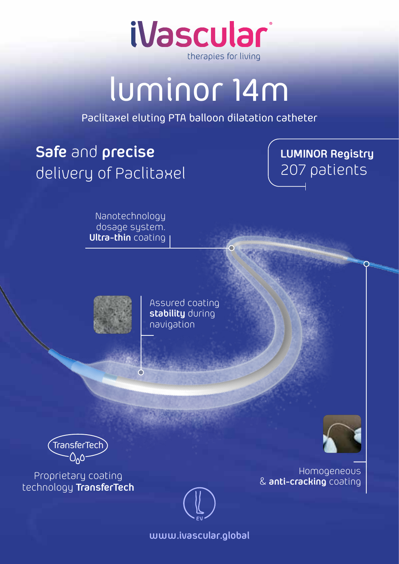

## luminor 14m

Paclitaxel eluting PTA balloon dilatation catheter

## **Safe** and **precise** delivery of Paclitaxel

## **LUMINOR Registry** 207 patients

Nanotechnology dosage system. **Ultra-thin** coating

> Assured coating **stability** during navigation



Homogeneous & **anti-cracking** coating



**www.ivascular.global**

TransferTech

Proprietary coating technology **TransferTech**